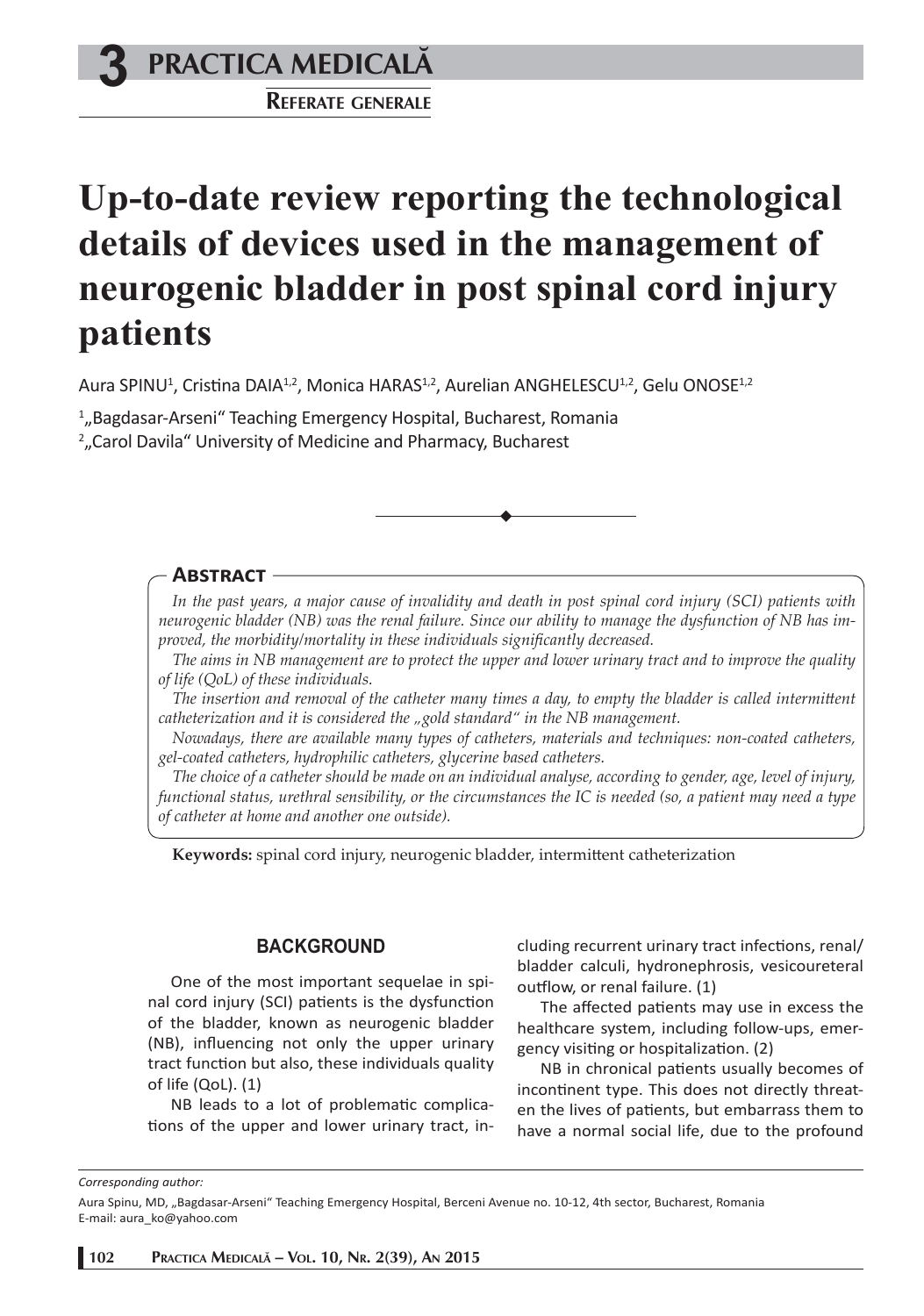**3 PRACTICA MEDICALÅ**

**REFERATE GENERALE**

# **Up-to-date review reporting the technological details of devices used in the management of neurogenic bladder in post spinal cord injury patients**

Aura SPINU<sup>1</sup>, Cristina DAIA<sup>1,2</sup>, Monica HARAS<sup>1,2</sup>, Aurelian ANGHELESCU<sup>1,2</sup>, Gelu ONOSE<sup>1,2</sup>

1 "Bagdasar-Arseni" Teaching Emergency Hospital, Bucharest, Romania 2 "Carol Davila" University of Medicine and Pharmacy, Bucharest

## **ABSTRACT**

*In the past years, a major cause of invalidity and death in post spinal cord injury (SCI) patients with neurogenic bladder (NB) was the renal failure. Since our ability to manage the dysfunction of NB has im*proved, the morbidity/mortality in these individuals significantly decreased.

*The aims in NB management are to protect the upper and lower urinary tract and to improve the quality of life (QoL) of these individuals.*

*The insertion and removal of the catheter many times a day, to empty the bladder is called intermittent catheterization and it is considered the "gold standard" in the NB management.*

*Nowadays, there are available many types of catheters, materials and techniques: non-coated catheters, gel-coated catheters, hydrophilic catheters, glycerine based catheters.*

*The choice of a catheter should be made on an individual analyse, according to gender, age, level of injury, functional status, urethral sensibility, or the circumstances the IC is needed (so, a patient may need a type of catheter at home and another one outside).*

Keywords: spinal cord injury, neurogenic bladder, intermittent catheterization

### **BACKGROUND**

One of the most important sequelae in spinal cord injury (SCI) patients is the dysfunction of the bladder, known as neurogenic bladder (NB), influencing not only the upper urinary tract function but also, these individuals quality of life (QoL). (1)

NB leads to a lot of problematic complications of the upper and lower urinary tract, including recurrent urinary tract infections, renal/ bladder calculi, hydronephrosis, vesicoureteral outflow, or renal failure. (1)

The affected patients may use in excess the healthcare system, including follow-ups, emergency visiting or hospitalization. (2)

NB in chronical patients usually becomes of incontinent type. This does not directly threaten the lives of patients, but embarrass them to have a normal social life, due to the profound

*Corresponding author:* 

Aura Spinu, MD, "Bagdasar-Arseni" Teaching Emergency Hospital, Berceni Avenue no. 10-12, 4th sector, Bucharest, Romania E-mail: aura\_ko@yahoo.com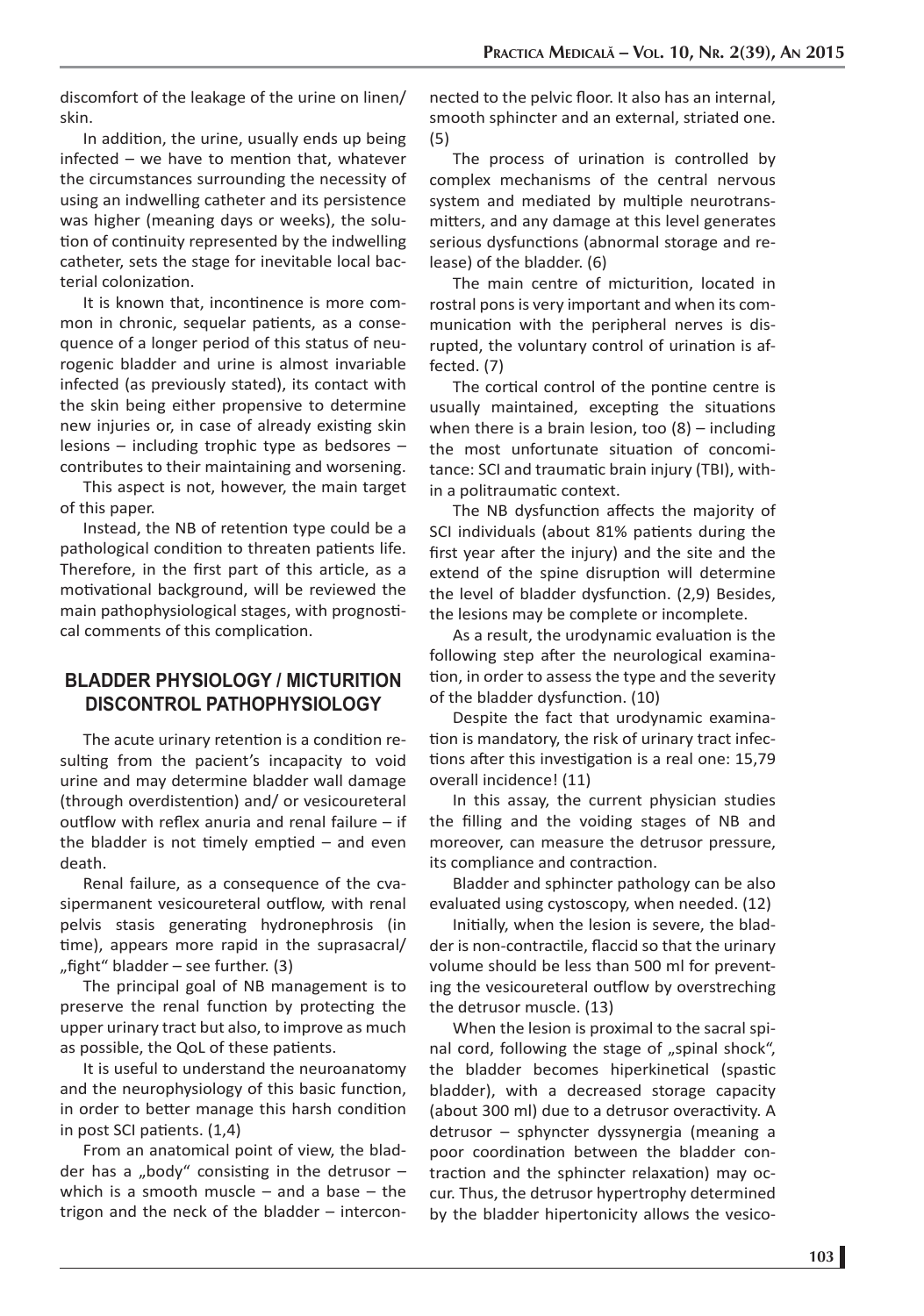discomfort of the leakage of the urine on linen/ skin.

In addition, the urine, usually ends up being  $infected - we have to mention that, whatever$ the circumstances surrounding the necessity of using an indwelling catheter and its persistence was higher (meaning days or weeks), the solution of continuity represented by the indwelling catheter, sets the stage for inevitable local bacterial colonization.

It is known that, incontinence is more common in chronic, sequelar patients, as a consequence of a longer period of this status of neurogenic bladder and urine is almost invariable infected (as previously stated), its contact with the skin being either propensive to determine new injuries or, in case of already existing skin lesions – including trophic type as bedsores – contributes to their maintaining and worsening.

This aspect is not, however, the main target of this paper.

Instead, the NB of retention type could be a pathological condition to threaten patients life. Therefore, in the first part of this article, as a motivational background, will be reviewed the main pathophysiological stages, with prognostical comments of this complication.

# **BLADDER PHYSIOLOGY / MICTURITION DISCONTROL PATHOPHYSIOLOGY**

The acute urinary retention is a condition resulting from the pacient's incapacity to void urine and may determine bladder wall damage (through overdistention) and/ or vesicoureteral outflow with reflex anuria and renal failure  $-$  if the bladder is not timely emptied  $-$  and even death.

Renal failure, as a consequence of the cvasipermanent vesicoureteral outflow, with renal pelvis stasis generating hydronephrosis (in time), appears more rapid in the suprasacral/ ", fight" bladder  $-$  see further. (3)

The principal goal of NB management is to preserve the renal function by protecting the upper urinary tract but also, to improve as much as possible, the QoL of these patients.

It is useful to understand the neuroanatomy and the neurophysiology of this basic function, in order to better manage this harsh condition in post SCI patients. (1,4)

From an anatomical point of view, the bladder has a "body" consisting in the detrusor  $$ which is a smooth muscle  $-$  and a base  $-$  the trigon and the neck of the bladder – interconnected to the pelvic floor. It also has an internal, smooth sphincter and an external, striated one. (5)

The process of urination is controlled by complex mechanisms of the central nervous system and mediated by multiple neurotransmitters, and any damage at this level generates serious dysfunctions (abnormal storage and release) of the bladder. (6)

The main centre of micturition, located in rostral pons is very important and when its communication with the peripheral nerves is disrupted, the voluntary control of urination is affected. (7)

The cortical control of the pontine centre is usually maintained, excepting the situations when there is a brain lesion, too  $(8)$  – including the most unfortunate situation of concomitance: SCI and traumatic brain injury (TBI), within a politraumatic context.

The NB dysfunction affects the majority of SCI individuals (about 81% patients during the first year after the injury) and the site and the extend of the spine disruption will determine the level of bladder dysfunction. (2,9) Besides, the lesions may be complete or incomplete.

As a result, the urodynamic evaluation is the following step after the neurological examination, in order to assess the type and the severity of the bladder dysfunction. (10)

Despite the fact that urodynamic examination is mandatory, the risk of urinary tract infections after this investigation is a real one: 15,79 overall incidence! (11)

In this assay, the current physician studies the filling and the voiding stages of NB and moreover, can measure the detrusor pressure, its compliance and contraction.

Bladder and sphincter pathology can be also evaluated using cystoscopy, when needed. (12)

Initially, when the lesion is severe, the bladder is non-contractile, flaccid so that the urinary volume should be less than 500 ml for preventing the vesicoureteral outflow by overstreching the detrusor muscle. (13)

When the lesion is proximal to the sacral spinal cord, following the stage of "spinal shock", the bladder becomes hiperkinetical (spastic bladder), with a decreased storage capacity (about 300 ml) due to a detrusor overactivity. A detrusor – sphyncter dyssynergia (meaning a poor coordination between the bladder contraction and the sphincter relaxation) may occur. Thus, the detrusor hypertrophy determined by the bladder hipertonicity allows the vesico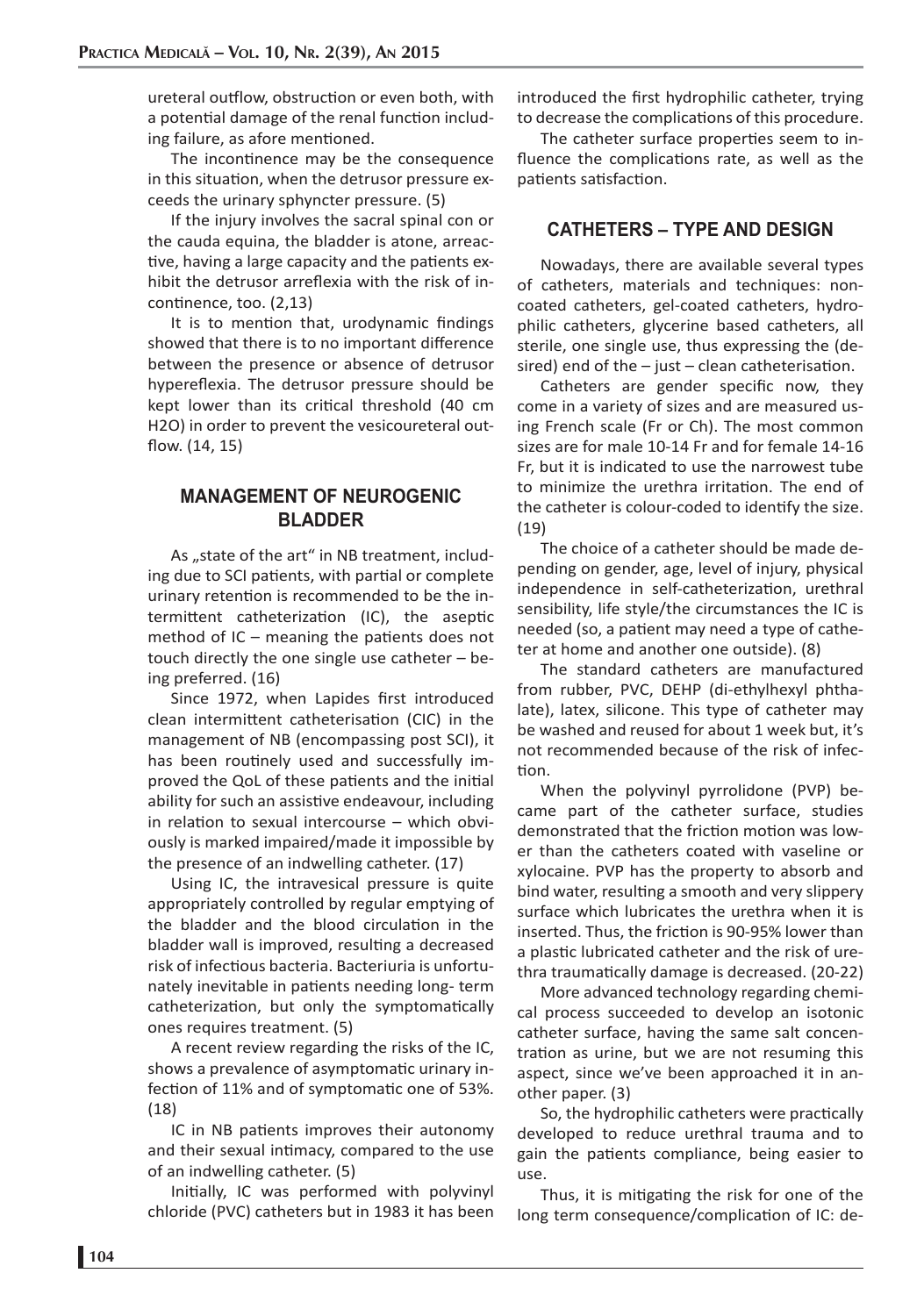ureteral outflow, obstruction or even both, with a potential damage of the renal function including failure, as afore mentioned.

The incontinence may be the consequence in this situation, when the detrusor pressure exceeds the urinary sphyncter pressure. (5)

If the injury involves the sacral spinal con or the cauda equina, the bladder is atone, arreactive, having a large capacity and the patients exhibit the detrusor arreflexia with the risk of incontinence, too. (2.13)

It is to mention that, urodynamic findings showed that there is to no important difference between the presence or absence of detrusor hypereflexia. The detrusor pressure should be kept lower than its critical threshold (40 cm H2O) in order to prevent the vesicoureteral outflow. (14, 15)

## **MANAGEMENT OF NEUROGENIC BLADDER**

As "state of the art" in NB treatment, including due to SCI patients, with partial or complete urinary retention is recommended to be the intermittent catheterization (IC), the aseptic method of IC – meaning the patients does not touch directly the one single use catheter – being preferred. (16)

Since 1972, when Lapides first introduced clean intermittent catheterisation (CIC) in the management of NB (encompassing post SCI), it has been routinely used and successfully improved the QoL of these patients and the initial ability for such an assistive endeavour, including in relation to sexual intercourse  $-$  which obviously is marked impaired/made it impossible by the presence of an indwelling catheter. (17)

Using IC, the intravesical pressure is quite appropriately controlled by regular emptying of the bladder and the blood circulation in the bladder wall is improved, resulting a decreased risk of infectious bacteria. Bacteriuria is unfortunately inevitable in patients needing long- term catheterization, but only the symptomatically ones requires treatment. (5)

A recent review regarding the risks of the IC, shows a prevalence of asymptomatic urinary infection of 11% and of symptomatic one of 53%. (18)

IC in NB patients improves their autonomy and their sexual intimacy, compared to the use of an indwelling catheter. (5)

Initially, IC was performed with polyvinyl chloride (PVC) catheters but in 1983 it has been

introduced the first hydrophilic catheter, trying to decrease the complications of this procedure.

The catheter surface properties seem to influence the complications rate, as well as the patients satisfaction.

## **CATHETERS – TYPE AND DESIGN**

Nowadays, there are available several types of catheters, materials and techniques: noncoated catheters, gel-coated catheters, hydrophilic catheters, glycerine based catheters, all sterile, one single use, thus expressing the (desired) end of the  $-$  just  $-$  clean catheterisation.

Catheters are gender specific now, they come in a variety of sizes and are measured using French scale (Fr or Ch). The most common sizes are for male 10-14 Fr and for female 14-16 Fr, but it is indicated to use the narrowest tube to minimize the urethra irritation. The end of the catheter is colour-coded to identify the size. (19)

The choice of a catheter should be made depending on gender, age, level of injury, physical independence in self-catheterization, urethral sensibility, life style/the circumstances the IC is needed (so, a patient may need a type of catheter at home and another one outside). (8)

The standard catheters are manufactured from rubber, PVC, DEHP (di-ethylhexyl phthalate), latex, silicone. This type of catheter may be washed and reused for about 1 week but, it's not recommended because of the risk of infection.

When the polyvinyl pyrrolidone (PVP) became part of the catheter surface, studies demonstrated that the friction motion was lower than the catheters coated with vaseline or xylocaine. PVP has the property to absorb and bind water, resulting a smooth and very slippery surface which lubricates the urethra when it is inserted. Thus, the friction is 90-95% lower than a plastic lubricated catheter and the risk of urethra traumatically damage is decreased. (20-22)

More advanced technology regarding chemical process succeeded to develop an isotonic catheter surface, having the same salt concentration as urine, but we are not resuming this aspect, since we've been approached it in another paper. (3)

So, the hydrophilic catheters were practically developed to reduce urethral trauma and to gain the patients compliance, being easier to use.

Thus, it is mitigating the risk for one of the long term consequence/complication of IC: de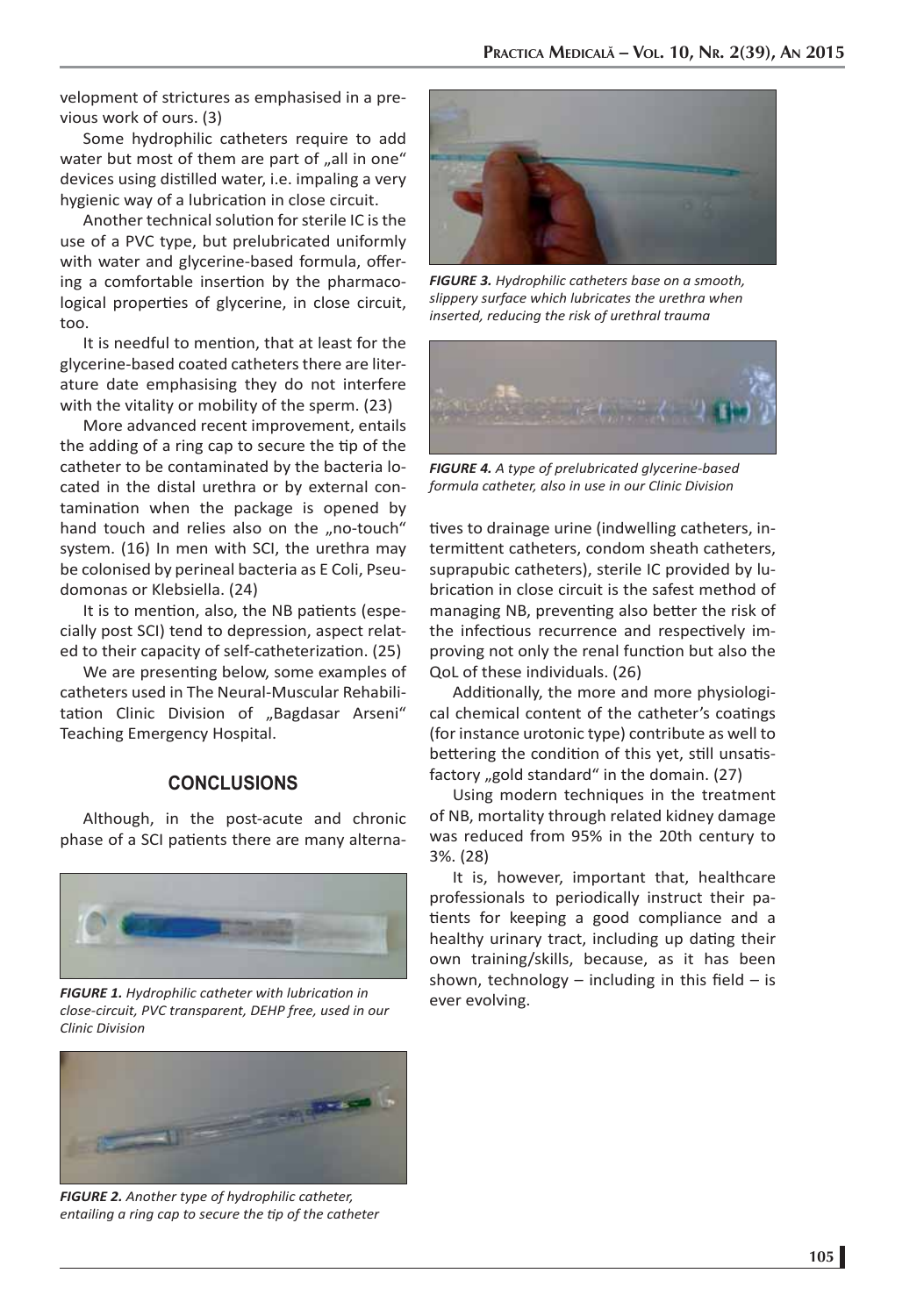velopment of strictures as emphasised in a previous work of ours. (3)

Some hydrophilic catheters require to add water but most of them are part of "all in one" devices using distilled water, i.e. impaling a very hygienic way of a lubrication in close circuit.

Another technical solution for sterile IC is the use of a PVC type, but prelubricated uniformly with water and glycerine-based formula, offering a comfortable insertion by the pharmacological properties of glycerine, in close circuit, too.

It is needful to mention, that at least for the glycerine-based coated catheters there are literature date emphasising they do not interfere with the vitality or mobility of the sperm. (23)

More advanced recent improvement, entails the adding of a ring cap to secure the tip of the catheter to be contaminated by the bacteria located in the distal urethra or by external contamination when the package is opened by hand touch and relies also on the "no-touch" system. (16) In men with SCI, the urethra may be colonised by perineal bacteria as E Coli, Pseudomonas or Klebsiella. (24)

It is to mention, also, the NB patients (especially post SCI) tend to depression, aspect related to their capacity of self-catheterization. (25)

We are presenting below, some examples of catheters used in The Neural-Muscular Rehabilitation Clinic Division of "Bagdasar Arseni" Teaching Emergency Hospital.

### **CONCLUSIONS**

Although, in the post-acute and chronic phase of a SCI patients there are many alterna-



**FIGURE 1.** Hydrophilic catheter with lubrication in ever evolving. *close-circuit, PVC transparent, DEHP free, used in our Clinic Division*



*FIGURE 2. Another type of hydrophilic catheter, entailing a ring cap to secure the ti p of the catheter*



*FIGURE 3. Hydrophilic catheters base on a smooth, slippery surface which lubricates the urethra when inserted, reducing the risk of urethral trauma*



*FIGURE 4. A type of prelubricated glycerine-based formula catheter, also in use in our Clinic Division*

tives to drainage urine (indwelling catheters, intermittent catheters, condom sheath catheters, suprapubic catheters), sterile IC provided by lubrication in close circuit is the safest method of managing NB, preventing also better the risk of the infectious recurrence and respectively improving not only the renal function but also the QoL of these individuals. (26)

Additionally, the more and more physiological chemical content of the catheter's coatings (for instance urotonic type) contribute as well to bettering the condition of this yet, still unsatisfactory "gold standard" in the domain. (27)

Using modern techniques in the treatment of NB, mortality through related kidney damage was reduced from 95% in the 20th century to 3%. (28)

It is, however, important that, healthcare professionals to periodically instruct their patients for keeping a good compliance and a healthy urinary tract, including up dating their own training/skills, because, as it has been shown, technology – including in this field – is